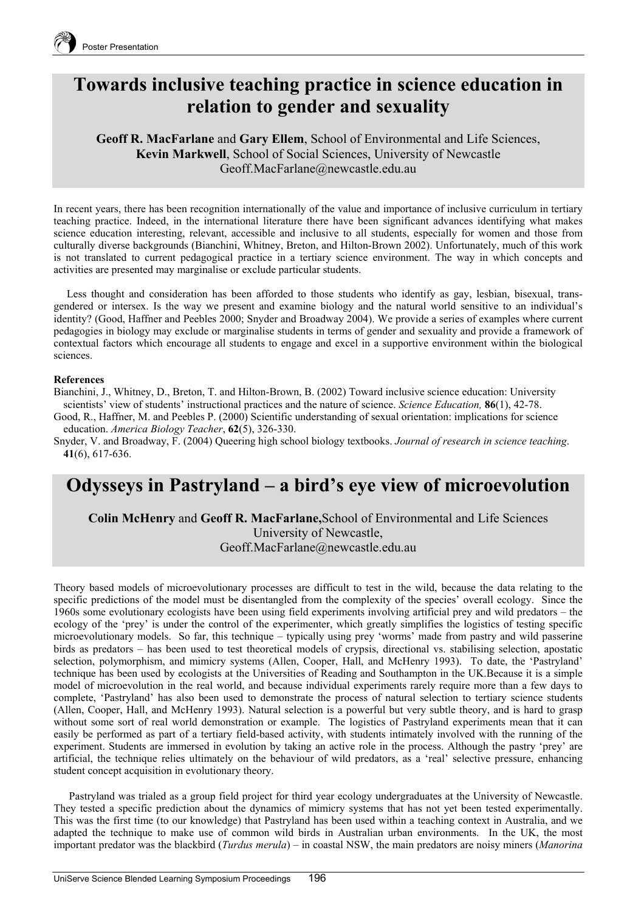

## **Towards inclusive teaching practice in science education in relation to gender and sexuality**

**Geoff R. MacFarlane** and **Gary Ellem**, School of Environmental and Life Sciences, **Kevin Markwell**, School of Social Sciences, University of Newcastle Geoff.MacFarlane@newcastle.edu.au

In recent years, there has been recognition internationally of the value and importance of inclusive curriculum in tertiary teaching practice. Indeed, in the international literature there have been significant advances identifying what makes science education interesting, relevant, accessible and inclusive to all students, especially for women and those from culturally diverse backgrounds (Bianchini, Whitney, Breton, and Hilton-Brown 2002). Unfortunately, much of this work is not translated to current pedagogical practice in a tertiary science environment. The way in which concepts and activities are presented may marginalise or exclude particular students.

Less thought and consideration has been afforded to those students who identify as gay, lesbian, bisexual, transgendered or intersex. Is the way we present and examine biology and the natural world sensitive to an individual's identity? (Good, Haffner and Peebles 2000; Snyder and Broadway 2004). We provide a series of examples where current pedagogies in biology may exclude or marginalise students in terms of gender and sexuality and provide a framework of contextual factors which encourage all students to engage and excel in a supportive environment within the biological sciences.

## **References**

Bianchini, J., Whitney, D., Breton, T. and Hilton-Brown, B. (2002) Toward inclusive science education: University scientists' view of students' instructional practices and the nature of science. *Science Education,* **86**(1), 42-78.

Good, R., Haffner, M. and Peebles P. (2000) Scientific understanding of sexual orientation: implications for science education. *America Biology Teacher*, **62**(5), 326-330.

Snyder, V. and Broadway, F. (2004) Queering high school biology textbooks. *Journal of research in science teaching*. **41**(6), 617-636.

## **Odysseys in Pastryland – a bird's eye view of microevolution**

**Colin McHenry** and **Geoff R. MacFarlane,**School of Environmental and Life Sciences University of Newcastle, Geoff.MacFarlane@newcastle.edu.au

Theory based models of microevolutionary processes are difficult to test in the wild, because the data relating to the specific predictions of the model must be disentangled from the complexity of the species' overall ecology. Since the 1960s some evolutionary ecologists have been using field experiments involving artificial prey and wild predators – the ecology of the 'prey' is under the control of the experimenter, which greatly simplifies the logistics of testing specific microevolutionary models. So far, this technique – typically using prey 'worms' made from pastry and wild passerine birds as predators – has been used to test theoretical models of crypsis, directional vs. stabilising selection, apostatic selection, polymorphism, and mimicry systems (Allen, Cooper, Hall, and McHenry 1993). To date, the 'Pastryland' technique has been used by ecologists at the Universities of Reading and Southampton in the UK.Because it is a simple model of microevolution in the real world, and because individual experiments rarely require more than a few days to complete, 'Pastryland' has also been used to demonstrate the process of natural selection to tertiary science students (Allen, Cooper, Hall, and McHenry 1993). Natural selection is a powerful but very subtle theory, and is hard to grasp without some sort of real world demonstration or example. The logistics of Pastryland experiments mean that it can easily be performed as part of a tertiary field-based activity, with students intimately involved with the running of the experiment. Students are immersed in evolution by taking an active role in the process. Although the pastry 'prey' are artificial, the technique relies ultimately on the behaviour of wild predators, as a 'real' selective pressure, enhancing student concept acquisition in evolutionary theory.

Pastryland was trialed as a group field project for third year ecology undergraduates at the University of Newcastle. They tested a specific prediction about the dynamics of mimicry systems that has not yet been tested experimentally. This was the first time (to our knowledge) that Pastryland has been used within a teaching context in Australia, and we adapted the technique to make use of common wild birds in Australian urban environments. In the UK, the most important predator was the blackbird (*Turdus merula*) – in coastal NSW, the main predators are noisy miners (*Manorina*